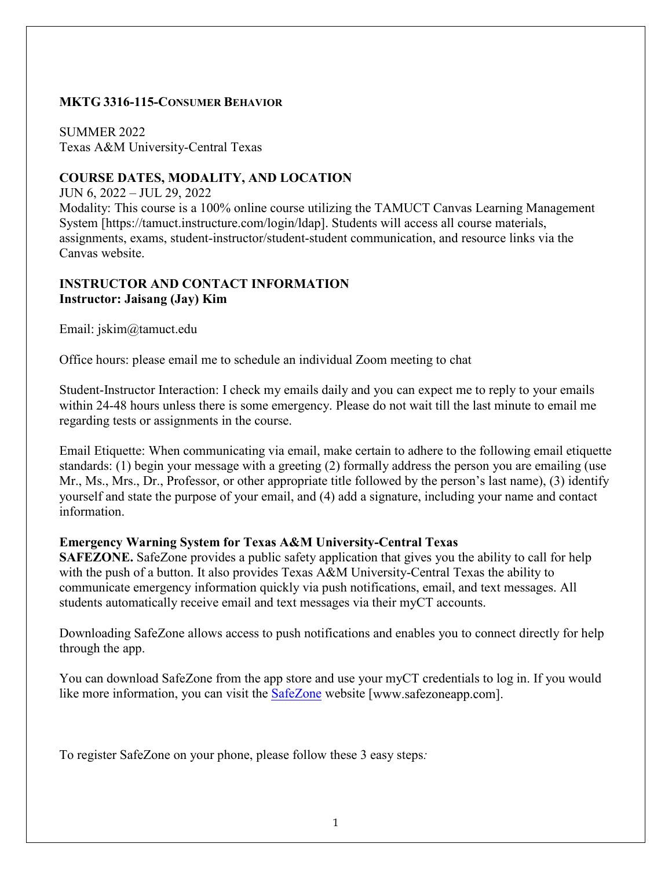#### **MKTG 3316-115-CONSUMER BEHAVIOR**

SUMMER 2022 Texas A&M University-Central Texas

### **COURSE DATES, MODALITY, AND LOCATION**

JUN 6, 2022 – JUL 29, 2022

Modality: This course is a 100% online course utilizing the TAMUCT Canvas Learning Management System [https://tamuct.instructure.com/login/ldap]. Students will access all course materials, assignments, exams, student-instructor/student-student communication, and resource links via the Canvas website.

### **INSTRUCTOR AND CONTACT INFORMATION Instructor: Jaisang (Jay) Kim**

Email: jskim@tamuct.edu

Office hours: please email me to schedule an individual Zoom meeting to chat

Student-Instructor Interaction: I check my emails daily and you can expect me to reply to your emails within 24-48 hours unless there is some emergency. Please do not wait till the last minute to email me regarding tests or assignments in the course.

Email Etiquette: When communicating via email, make certain to adhere to the following email etiquette standards: (1) begin your message with a greeting (2) formally address the person you are emailing (use Mr., Ms., Mrs., Dr., Professor, or other appropriate title followed by the person's last name), (3) identify yourself and state the purpose of your email, and (4) add a signature, including your name and contact information.

#### **Emergency Warning System for Texas A&M University-Central Texas**

**SAFEZONE.** SafeZone provides a public safety application that gives you the ability to call for help with the push of a button. It also provides Texas A&M University-Central Texas the ability to communicate emergency information quickly via push notifications, email, and text messages. All students automatically receive email and text messages via their myCT accounts.

Downloading SafeZone allows access to push notifications and enables you to connect directly for help through the app.

You can download SafeZone from the app store and use your myCT credentials to log in. If you would like more information, you can visit the **SafeZone** website [www.safezoneapp.com].

To register SafeZone on your phone, please follow these 3 easy steps*:*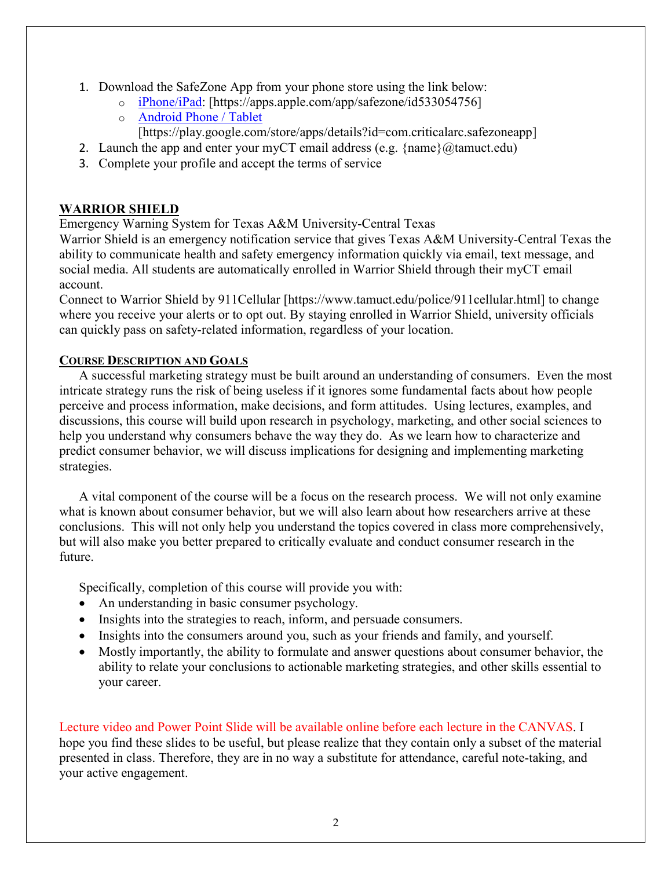- 1. Download the SafeZone App from your phone store using the link below:
	- o [iPhone/iPad:](https://apps.apple.com/app/safezone/id533054756) [https://apps.apple.com/app/safezone/id533054756]
	- o [Android Phone / Tablet](https://play.google.com/store/apps/details?id=com.criticalarc.safezoneapp)
		- [https://play.google.com/store/apps/details?id=com.criticalarc.safezoneapp]
- 2. Launch the app and enter your myCT email address (e.g.  $\{\text{name}\}\langle\omega\rangle$  tamuct.edu)
- 3. Complete your profile and accept the terms of service

# **WARRIOR SHIELD**

Emergency Warning System for Texas A&M University-Central Texas

Warrior Shield is an emergency notification service that gives Texas A&M University-Central Texas the ability to communicate health and safety emergency information quickly via email, text message, and social media. All students are automatically enrolled in Warrior Shield through their myCT email account.

Connect to Warrior Shield by 911Cellular [https://www.tamuct.edu/police/911cellular.html] to change where you receive your alerts or to opt out. By staying enrolled in Warrior Shield, university officials can quickly pass on safety-related information, regardless of your location.

### **COURSE DESCRIPTION AND GOALS**

A successful marketing strategy must be built around an understanding of consumers. Even the most intricate strategy runs the risk of being useless if it ignores some fundamental facts about how people perceive and process information, make decisions, and form attitudes. Using lectures, examples, and discussions, this course will build upon research in psychology, marketing, and other social sciences to help you understand why consumers behave the way they do. As we learn how to characterize and predict consumer behavior, we will discuss implications for designing and implementing marketing strategies.

A vital component of the course will be a focus on the research process. We will not only examine what is known about consumer behavior, but we will also learn about how researchers arrive at these conclusions. This will not only help you understand the topics covered in class more comprehensively, but will also make you better prepared to critically evaluate and conduct consumer research in the future.

Specifically, completion of this course will provide you with:

- An understanding in basic consumer psychology.
- Insights into the strategies to reach, inform, and persuade consumers.
- Insights into the consumers around you, such as your friends and family, and yourself.
- Mostly importantly, the ability to formulate and answer questions about consumer behavior, the ability to relate your conclusions to actionable marketing strategies, and other skills essential to your career.

Lecture video and Power Point Slide will be available online before each lecture in the CANVAS. I hope you find these slides to be useful, but please realize that they contain only a subset of the material presented in class. Therefore, they are in no way a substitute for attendance, careful note-taking, and your active engagement.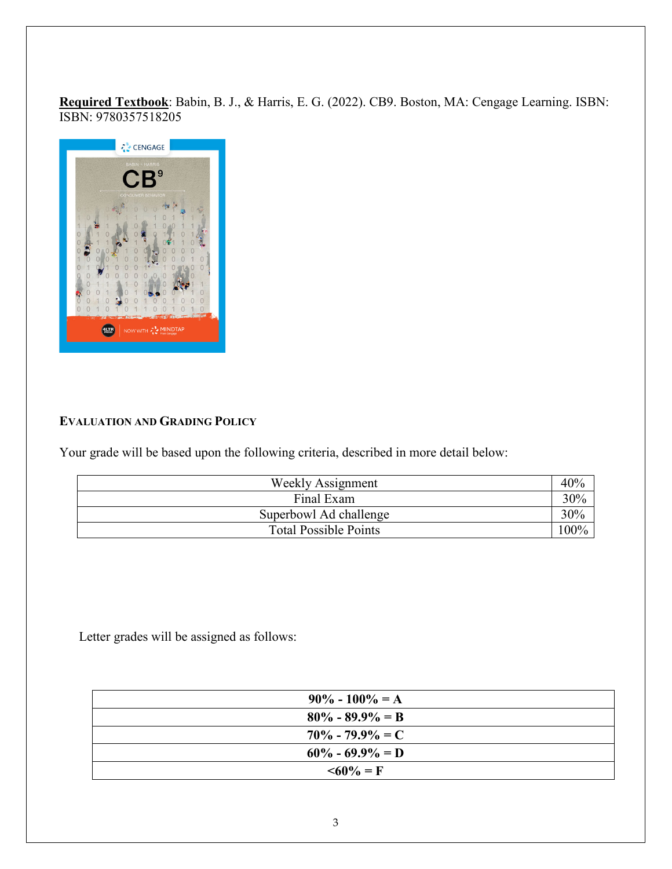**Required Textbook**: Babin, B. J., & Harris, E. G. (2022). CB9. Boston, MA: Cengage Learning. ISBN: ISBN: 9780357518205



#### **EVALUATION AND GRADING POLICY**

Your grade will be based upon the following criteria, described in more detail below:

| Weekly Assignment            | 40%     |
|------------------------------|---------|
| Final Exam                   | 30%     |
| Superbowl Ad challenge       | 30%     |
| <b>Total Possible Points</b> | $100\%$ |

Letter grades will be assigned as follows:

| $90\% - 100\% = A$  |
|---------------------|
| $80\% - 89.9\% = B$ |
| $70\% - 79.9\% = C$ |
| $60\% - 69.9\% = D$ |
| $\leq 60\% = F$     |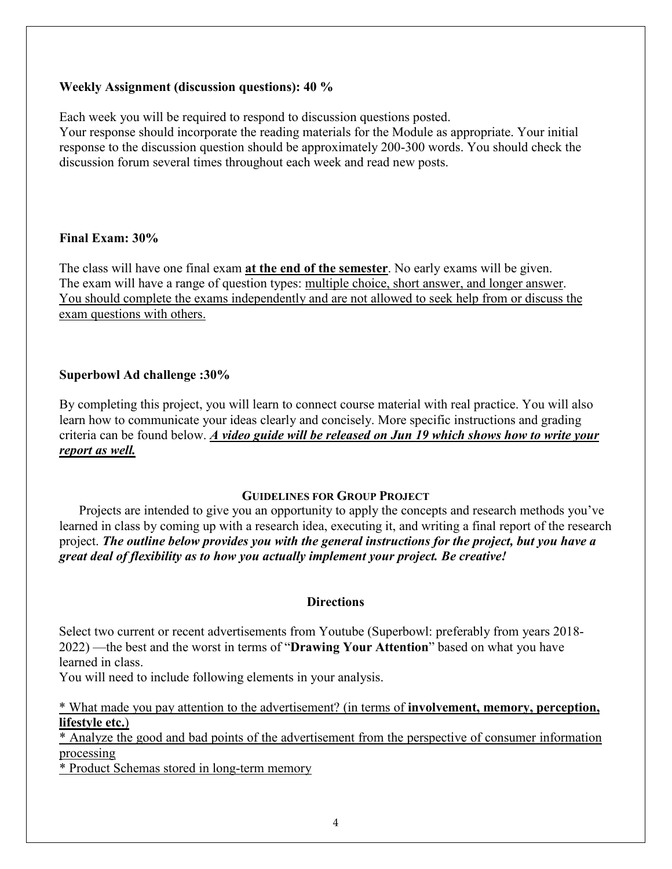#### **Weekly Assignment (discussion questions): 40 %**

Each week you will be required to respond to discussion questions posted.

Your response should incorporate the reading materials for the Module as appropriate. Your initial response to the discussion question should be approximately 200-300 words. You should check the discussion forum several times throughout each week and read new posts.

#### **Final Exam: 30%**

The class will have one final exam **at the end of the semester**. No early exams will be given. The exam will have a range of question types: multiple choice, short answer, and longer answer. You should complete the exams independently and are not allowed to seek help from or discuss the exam questions with others.

### **Superbowl Ad challenge :30%**

By completing this project, you will learn to connect course material with real practice. You will also learn how to communicate your ideas clearly and concisely. More specific instructions and grading criteria can be found below. *A video guide will be released on Jun 19 which shows how to write your report as well.*

#### **GUIDELINES FOR GROUP PROJECT**

Projects are intended to give you an opportunity to apply the concepts and research methods you've learned in class by coming up with a research idea, executing it, and writing a final report of the research project. *The outline below provides you with the general instructions for the project, but you have a great deal of flexibility as to how you actually implement your project. Be creative!* 

#### **Directions**

Select two current or recent advertisements from Youtube (Superbowl: preferably from years 2018- 2022) —the best and the worst in terms of "**Drawing Your Attention**" based on what you have learned in class.

You will need to include following elements in your analysis.

\* What made you pay attention to the advertisement? (in terms of **involvement, memory, perception, lifestyle etc.**)

\* Analyze the good and bad points of the advertisement from the perspective of consumer information processing

\* Product Schemas stored in long-term memory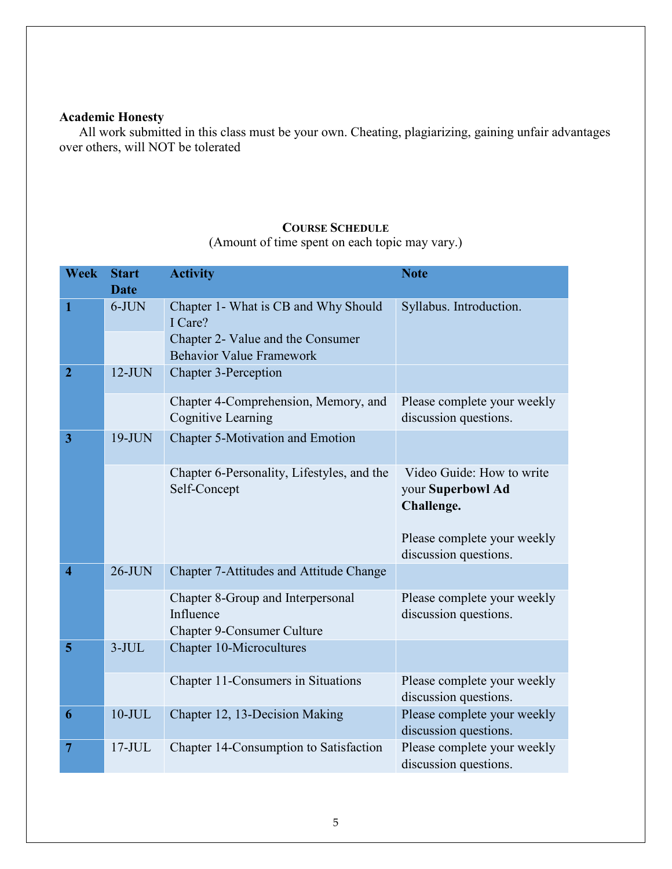# **Academic Honesty**

All work submitted in this class must be your own. Cheating, plagiarizing, gaining unfair advantages over others, will NOT be tolerated

#### .............................

#### **COURSE SCHEDULE**

(Amount of time spent on each topic may vary.)

| <b>Week</b>             | <b>Start</b> | <b>Activity</b>                                                                                                         | <b>Note</b>                                                  |
|-------------------------|--------------|-------------------------------------------------------------------------------------------------------------------------|--------------------------------------------------------------|
|                         | <b>Date</b>  |                                                                                                                         |                                                              |
| 1                       | $6-JUN$      | Chapter 1- What is CB and Why Should<br>I Care?<br>Chapter 2- Value and the Consumer<br><b>Behavior Value Framework</b> | Syllabus. Introduction.                                      |
| $\overline{2}$          | $12$ -JUN    | <b>Chapter 3-Perception</b>                                                                                             |                                                              |
|                         |              | Chapter 4-Comprehension, Memory, and<br><b>Cognitive Learning</b>                                                       | Please complete your weekly<br>discussion questions.         |
| 3                       | $19-JUN$     | <b>Chapter 5-Motivation and Emotion</b>                                                                                 |                                                              |
|                         |              | Chapter 6-Personality, Lifestyles, and the<br>Self-Concept                                                              | Video Guide: How to write<br>your Superbowl Ad<br>Challenge. |
|                         |              |                                                                                                                         | Please complete your weekly<br>discussion questions.         |
| $\overline{\mathbf{4}}$ | $26$ -JUN    | <b>Chapter 7-Attitudes and Attitude Change</b>                                                                          |                                                              |
|                         |              | Chapter 8-Group and Interpersonal<br>Influence<br><b>Chapter 9-Consumer Culture</b>                                     | Please complete your weekly<br>discussion questions.         |
| 5                       | $3-JUL$      | <b>Chapter 10-Microcultures</b>                                                                                         |                                                              |
|                         |              | Chapter 11-Consumers in Situations                                                                                      | Please complete your weekly<br>discussion questions.         |
| 6                       | $10$ -JUL    | Chapter 12, 13-Decision Making                                                                                          | Please complete your weekly<br>discussion questions.         |
| 7                       | $17$ -JUL    | Chapter 14-Consumption to Satisfaction                                                                                  | Please complete your weekly<br>discussion questions.         |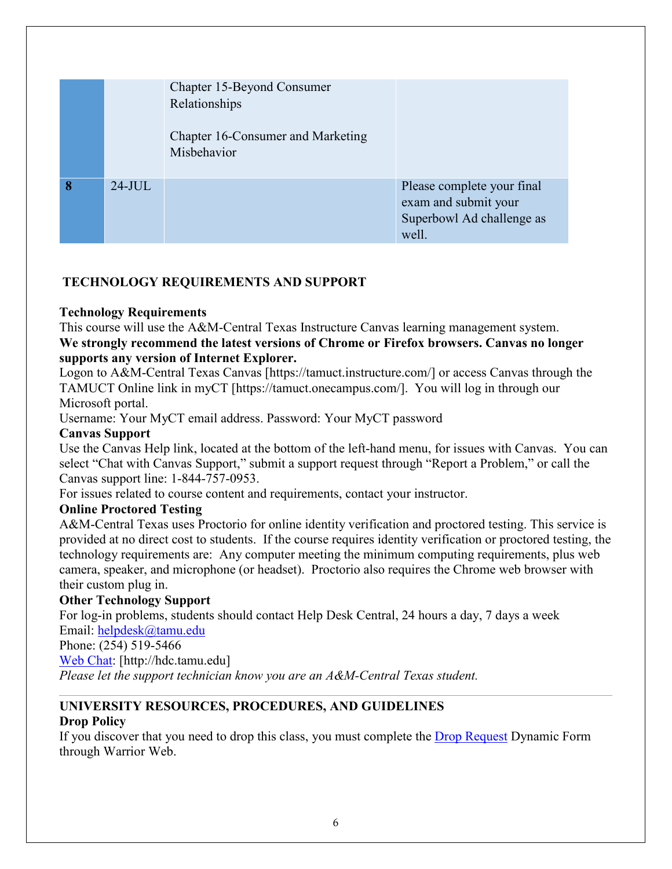|   |           | Chapter 15-Beyond Consumer<br>Relationships<br>Chapter 16-Consumer and Marketing<br>Misbehavior |                                                                                          |
|---|-----------|-------------------------------------------------------------------------------------------------|------------------------------------------------------------------------------------------|
| 8 | $24$ -JUL |                                                                                                 | Please complete your final<br>exam and submit your<br>Superbowl Ad challenge as<br>well. |

# **TECHNOLOGY REQUIREMENTS AND SUPPORT**

#### **Technology Requirements**

This course will use the A&M-Central Texas Instructure Canvas learning management system. **We strongly recommend the latest versions of Chrome or Firefox browsers. Canvas no longer supports any version of Internet Explorer.**

Logon to A&M-Central Texas Canvas [https://tamuct.instructure.com/] or access Canvas through the TAMUCT Online link in myCT [https://tamuct.onecampus.com/]. You will log in through our Microsoft portal.

Username: Your MyCT email address. Password: Your MyCT password

#### **Canvas Support**

Use the Canvas Help link, located at the bottom of the left-hand menu, for issues with Canvas. You can select "Chat with Canvas Support," submit a support request through "Report a Problem," or call the Canvas support line: 1-844-757-0953.

For issues related to course content and requirements, contact your instructor.

### **Online Proctored Testing**

A&M-Central Texas uses Proctorio for online identity verification and proctored testing. This service is provided at no direct cost to students. If the course requires identity verification or proctored testing, the technology requirements are: Any computer meeting the minimum computing requirements, plus web camera, speaker, and microphone (or headset). Proctorio also requires the Chrome web browser with their custom plug in.

### **Other Technology Support**

For log-in problems, students should contact Help Desk Central, 24 hours a day, 7 days a week

Email: [helpdesk@tamu.edu](mailto:helpdesk@tamu.edu)

Phone: (254) 519-5466

[Web Chat:](http://hdc.tamu.edu/) [http://hdc.tamu.edu]

*Please let the support technician know you are an A&M-Central Texas student.*

# **UNIVERSITY RESOURCES, PROCEDURES, AND GUIDELINES**

### **Drop Policy**

If you discover that you need to drop this class, you must complete the **Drop Request Dynamic Form** through Warrior Web.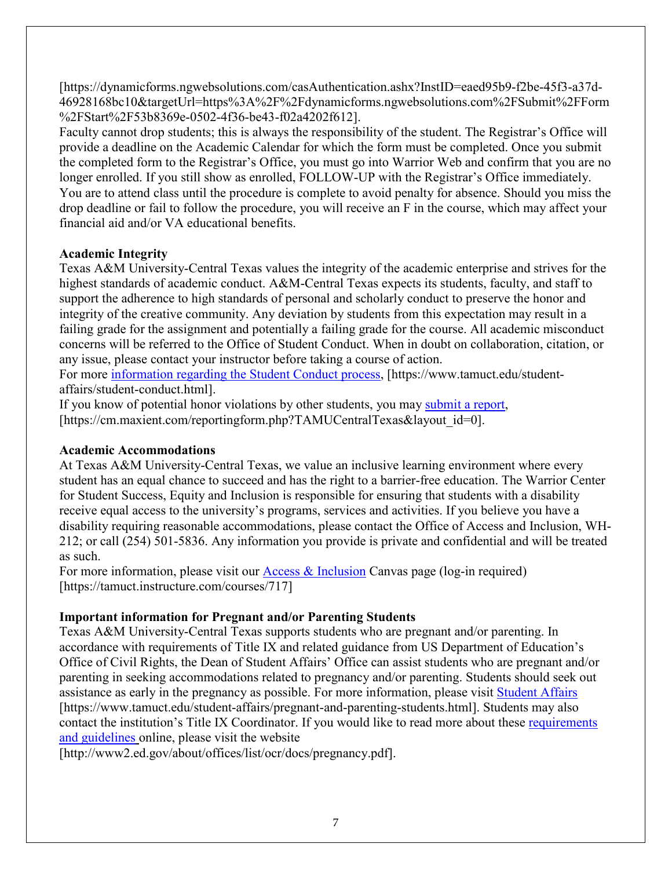[https://dynamicforms.ngwebsolutions.com/casAuthentication.ashx?InstID=eaed95b9-f2be-45f3-a37d-46928168bc10&targetUrl=https%3A%2F%2Fdynamicforms.ngwebsolutions.com%2FSubmit%2FForm %2FStart%2F53b8369e-0502-4f36-be43-f02a4202f612].

Faculty cannot drop students; this is always the responsibility of the student. The Registrar's Office will provide a deadline on the Academic Calendar for which the form must be completed. Once you submit the completed form to the Registrar's Office, you must go into Warrior Web and confirm that you are no longer enrolled. If you still show as enrolled, FOLLOW-UP with the Registrar's Office immediately. You are to attend class until the procedure is complete to avoid penalty for absence. Should you miss the drop deadline or fail to follow the procedure, you will receive an F in the course, which may affect your financial aid and/or VA educational benefits.

# **Academic Integrity**

Texas A&M University-Central Texas values the integrity of the academic enterprise and strives for the highest standards of academic conduct. A&M-Central Texas expects its students, faculty, and staff to support the adherence to high standards of personal and scholarly conduct to preserve the honor and integrity of the creative community. Any deviation by students from this expectation may result in a failing grade for the assignment and potentially a failing grade for the course. All academic misconduct concerns will be referred to the Office of Student Conduct. When in doubt on collaboration, citation, or any issue, please contact your instructor before taking a course of action.

For more [information regarding the Student Conduct process,](https://nam04.safelinks.protection.outlook.com/?url=https%3A%2F%2Fwww.tamuct.edu%2Fstudent-affairs%2Fstudent-conduct.html&data=04%7C01%7Clisa.bunkowski%40tamuct.edu%7Ccfb6e486f24745f53e1a08d910055cb2%7C9eed4e3000f744849ff193ad8005acec%7C0%7C0%7C637558437485252160%7CUnknown%7CTWFpbGZsb3d8eyJWIjoiMC4wLjAwMDAiLCJQIjoiV2luMzIiLCJBTiI6Ik1haWwiLCJXVCI6Mn0%3D%7C1000&sdata=yjftDEVHvLX%2FhM%2FcFU0B99krV1RgEWR%2BJ%2BhvtoR6TYk%3D&reserved=0) [https://www.tamuct.edu/studentaffairs/student-conduct.html].

If you know of potential honor violations by other students, you may [submit a report,](https://nam04.safelinks.protection.outlook.com/?url=https%3A%2F%2Fcm.maxient.com%2Freportingform.php%3FTAMUCentralTexas%26layout_id%3D0&data=04%7C01%7Clisa.bunkowski%40tamuct.edu%7Ccfb6e486f24745f53e1a08d910055cb2%7C9eed4e3000f744849ff193ad8005acec%7C0%7C0%7C637558437485262157%7CUnknown%7CTWFpbGZsb3d8eyJWIjoiMC4wLjAwMDAiLCJQIjoiV2luMzIiLCJBTiI6Ik1haWwiLCJXVCI6Mn0%3D%7C1000&sdata=CXGkOa6uPDPX1IMZ87z3aZDq2n91xfHKu4MMS43Ejjk%3D&reserved=0) [https://cm.maxient.com/reportingform.php?TAMUCentralTexas&layout\_id=0].

# **Academic Accommodations**

At Texas A&M University-Central Texas, we value an inclusive learning environment where every student has an equal chance to succeed and has the right to a barrier-free education. The Warrior Center for Student Success, Equity and Inclusion is responsible for ensuring that students with a disability receive equal access to the university's programs, services and activities. If you believe you have a disability requiring reasonable accommodations, please contact the Office of Access and Inclusion, WH-212; or call (254) 501-5836. Any information you provide is private and confidential and will be treated as such.

For more information, please visit our [Access & Inclusion](https://tamuct.instructure.com/courses/717) Canvas page (log-in required) [https://tamuct.instructure.com/courses/717]

# **Important information for Pregnant and/or Parenting Students**

Texas A&M University-Central Texas supports students who are pregnant and/or parenting. In accordance with requirements of Title IX and related guidance from US Department of Education's Office of Civil Rights, the Dean of Student Affairs' Office can assist students who are pregnant and/or parenting in seeking accommodations related to pregnancy and/or parenting. Students should seek out assistance as early in the pregnancy as possible. For more information, please visit [Student Affairs](https://www.tamuct.edu/student-affairs/pregnant-and-parenting-students.html) [https://www.tamuct.edu/student-affairs/pregnant-and-parenting-students.html]. Students may also contact the institution's Title IX Coordinator. If you would like to read more about these [requirements](http://www2.ed.gov/about/offices/list/ocr/docs/pregnancy.pdf)  [and guidelines](http://www2.ed.gov/about/offices/list/ocr/docs/pregnancy.pdf) online, please visit the website

[http://www2.ed.gov/about/offices/list/ocr/docs/pregnancy.pdf].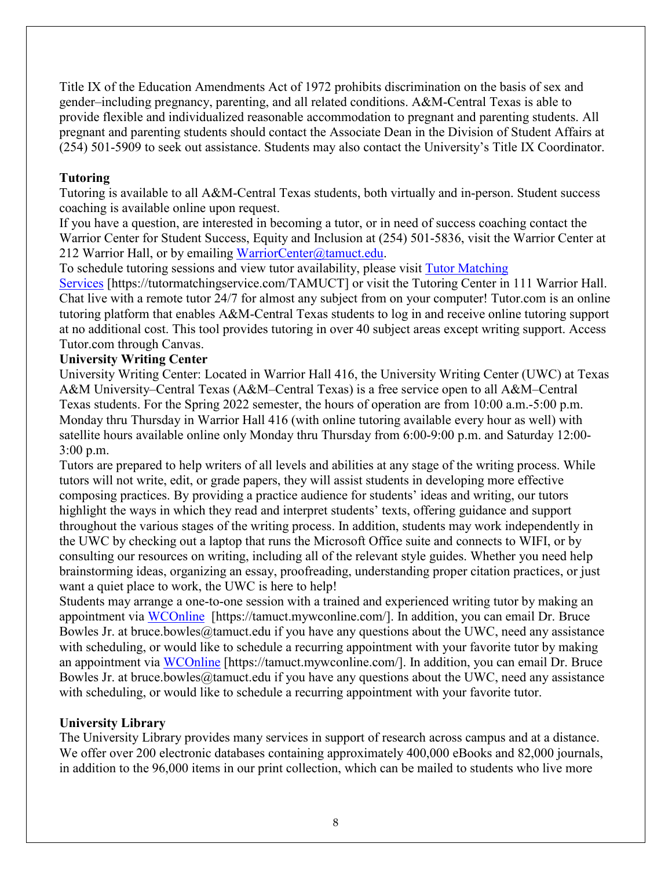Title IX of the Education Amendments Act of 1972 prohibits discrimination on the basis of sex and gender–including pregnancy, parenting, and all related conditions. A&M-Central Texas is able to provide flexible and individualized reasonable accommodation to pregnant and parenting students. All pregnant and parenting students should contact the Associate Dean in the Division of Student Affairs at (254) 501-5909 to seek out assistance. Students may also contact the University's Title IX Coordinator.

### **Tutoring**

Tutoring is available to all A&M-Central Texas students, both virtually and in-person. Student success coaching is available online upon request.

If you have a question, are interested in becoming a tutor, or in need of success coaching contact the Warrior Center for Student Success, Equity and Inclusion at (254) 501-5836, visit the Warrior Center at 212 Warrior Hall, or by emailing [WarriorCenter@tamuct.edu.](mailto:WarriorCenter@tamuct.edu)

To schedule tutoring sessions and view tutor availability, please visit [Tutor Matching](https://tutormatchingservice.com/TAMUCT) 

[Services](https://tutormatchingservice.com/TAMUCT) [https://tutormatchingservice.com/TAMUCT] or visit the Tutoring Center in 111 Warrior Hall. Chat live with a remote tutor 24/7 for almost any subject from on your computer! Tutor.com is an online tutoring platform that enables A&M-Central Texas students to log in and receive online tutoring support at no additional cost. This tool provides tutoring in over 40 subject areas except writing support. Access Tutor.com through Canvas.

# **University Writing Center**

University Writing Center: Located in Warrior Hall 416, the University Writing Center (UWC) at Texas A&M University–Central Texas (A&M–Central Texas) is a free service open to all A&M–Central Texas students. For the Spring 2022 semester, the hours of operation are from 10:00 a.m.-5:00 p.m. Monday thru Thursday in Warrior Hall 416 (with online tutoring available every hour as well) with satellite hours available online only Monday thru Thursday from 6:00-9:00 p.m. and Saturday 12:00- 3:00 p.m.

Tutors are prepared to help writers of all levels and abilities at any stage of the writing process. While tutors will not write, edit, or grade papers, they will assist students in developing more effective composing practices. By providing a practice audience for students' ideas and writing, our tutors highlight the ways in which they read and interpret students' texts, offering guidance and support throughout the various stages of the writing process. In addition, students may work independently in the UWC by checking out a laptop that runs the Microsoft Office suite and connects to WIFI, or by consulting our resources on writing, including all of the relevant style guides. Whether you need help brainstorming ideas, organizing an essay, proofreading, understanding proper citation practices, or just want a quiet place to work, the UWC is here to help!

Students may arrange a one-to-one session with a trained and experienced writing tutor by making an appointment via [WCOnline](https://tamuct.mywconline.com/) [https://tamuct.mywconline.com/]. In addition, you can email Dr. Bruce Bowles Jr. at bruce.bowles@tamuct.edu if you have any questions about the UWC, need any assistance with scheduling, or would like to schedule a recurring appointment with your favorite tutor by making an appointment via [WCOnline](https://tamuct.mywconline.com/) [https://tamuct.mywconline.com/]. In addition, you can email Dr. Bruce Bowles Jr. at bruce.bowles@tamuct.edu if you have any questions about the UWC, need any assistance with scheduling, or would like to schedule a recurring appointment with your favorite tutor.

### **University Library**

The University Library provides many services in support of research across campus and at a distance. We offer over 200 electronic databases containing approximately 400,000 eBooks and 82,000 journals, in addition to the 96,000 items in our print collection, which can be mailed to students who live more